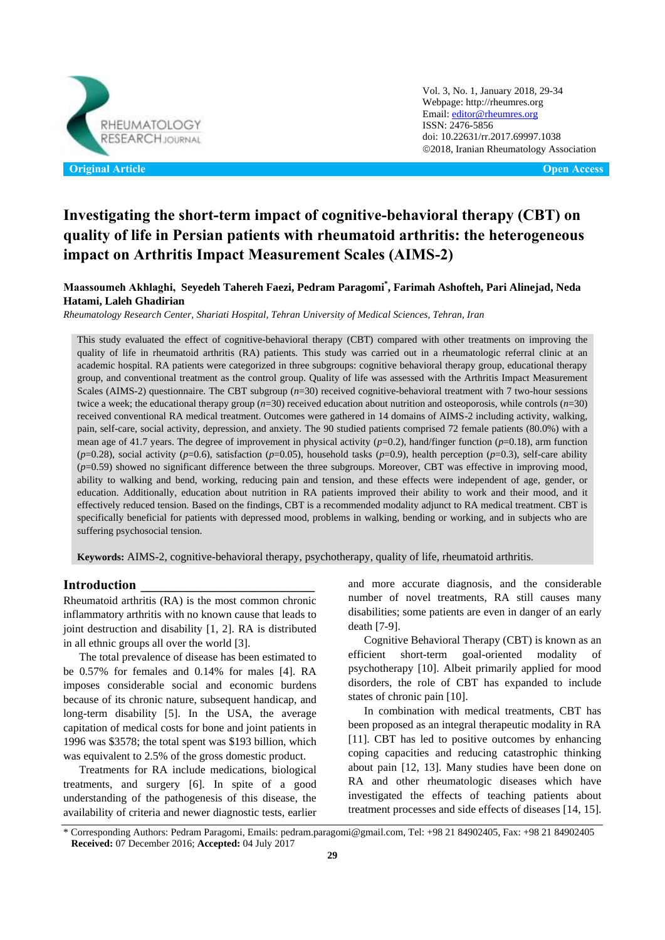

Vol. 3, No. 1, January 2018, 29-34 Webpage: http://rheumres.org Email[: editor@rheumres.org](mailto:editor@rheumres.org) ISSN: 2476-5856 doi[: 10.22631/rr.2017.69997.1038](http://dx.doi.org/10.22631/rr.2017.69997.1021) 2018, Iranian Rheumatology Association

# **Investigating the short-term impact of cognitive-behavioral therapy (CBT) on quality of life in Persian patients with rheumatoid arthritis: the heterogeneous impact on Arthritis Impact Measurement Scales (AIMS-2)**

# **Maassoumeh Akhlaghi, Seyedeh Tahereh Faezi, Pedram Paragomi\* , Farimah Ashofteh, Pari Alinejad, Neda Hatami, Laleh Ghadirian**

*Rheumatology Research Center, Shariati Hospital, Tehran University of Medical Sciences, Tehran, Iran*

This study evaluated the effect of cognitive-behavioral therapy (CBT) compared with other treatments on improving the quality of life in rheumatoid arthritis (RA) patients. This study was carried out in a rheumatologic referral clinic at an academic hospital. RA patients were categorized in three subgroups: cognitive behavioral therapy group, educational therapy group, and conventional treatment as the control group. Quality of life was assessed with the Arthritis Impact Measurement Scales (AIMS-2) questionnaire. The CBT subgroup (*n*=30) received cognitive-behavioral treatment with 7 two-hour sessions twice a week; the educational therapy group (*n*=30) received education about nutrition and osteoporosis, while controls (*n*=30) received conventional RA medical treatment. Outcomes were gathered in 14 domains of AIMS-2 including activity, walking, pain, self-care, social activity, depression, and anxiety. The 90 studied patients comprised 72 female patients (80.0%) with a mean age of 41.7 years. The degree of improvement in physical activity  $(p=0.2)$ , hand/finger function  $(p=0.18)$ , arm function  $(p=0.28)$ , social activity ( $p=0.6$ ), satisfaction ( $p=0.05$ ), household tasks ( $p=0.9$ ), health perception ( $p=0.3$ ), self-care ability (*p*=0.59) showed no significant difference between the three subgroups. Moreover, CBT was effective in improving mood, ability to walking and bend, working, reducing pain and tension, and these effects were independent of age, gender, or education. Additionally, education about nutrition in RA patients improved their ability to work and their mood, and it effectively reduced tension. Based on the findings, CBT is a recommended modality adjunct to RA medical treatment. CBT is specifically beneficial for patients with depressed mood, problems in walking, bending or working, and in subjects who are suffering psychosocial tension.

**Keywords:** AIMS-2, cognitive-behavioral therapy, psychotherapy, quality of life, rheumatoid arthritis.

## **Introduction \_\_\_\_\_\_\_\_\_\_\_\_\_\_\_\_\_\_\_\_\_\_\_\_\_\_**

Rheumatoid arthritis (RA) is the most common chronic inflammatory arthritis with no known cause that leads to joint destruction and disability [\[1,](#page-4-0) [2\]](#page-4-1). RA is distributed in all ethnic groups all over the world [\[3\]](#page-4-2).

The total prevalence of disease has been estimated to be 0.57% for females and 0.14% for males [\[4\]](#page-4-3). RA imposes considerable social and economic burdens because of its chronic nature, subsequent handicap, and long-term disability [\[5\]](#page-4-4). In the USA, the average capitation of medical costs for bone and joint patients in 1996 was \$3578; the total spent was \$193 billion, which was equivalent to 2.5% of the gross domestic product.

Treatments for RA include medications, biological treatments, and surgery [\[6\]](#page-4-5). In spite of a good understanding of the pathogenesis of this disease, the availability of criteria and newer diagnostic tests, earlier and more accurate diagnosis, and the considerable number of novel treatments, RA still causes many disabilities; some patients are even in danger of an early death [\[7-9\]](#page-4-6).

Cognitive Behavioral Therapy (CBT) is known as an efficient short-term goal-oriented modality of psychotherapy [\[10\]](#page-4-7). Albeit primarily applied for mood disorders, the role of CBT has expanded to include states of chronic pain [\[10\]](#page-4-7).

In combination with medical treatments, CBT has been proposed as an integral therapeutic modality in RA [\[11\]](#page-4-8). CBT has led to positive outcomes by enhancing coping capacities and reducing catastrophic thinking about pain [\[12,](#page-4-9) [13\]](#page-4-10). Many studies have been done on RA and other rheumatologic diseases which have investigated the effects of teaching patients about treatment processes and side effects of diseases [\[14,](#page-4-11) [15\]](#page-4-12).

<sup>\*</sup> Corresponding Authors: Pedram Paragomi, Emails: pedram.paragomi@gmail.com, Tel: +98 21 84902405, Fax: +98 21 84902405 **Received:** 07 December 2016; **Accepted:** 04 July 2017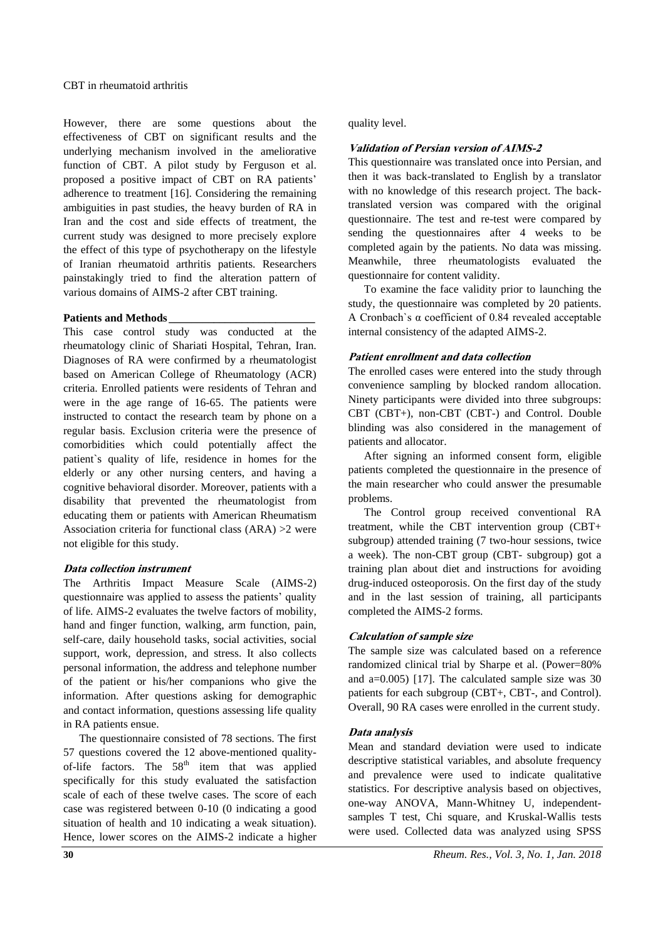However, there are some questions about the effectiveness of CBT on significant results and the underlying mechanism involved in the ameliorative function of CBT. A pilot study by Ferguson et al. proposed a positive impact of CBT on RA patients' adherence to treatment [\[16\]](#page-4-13). Considering the remaining ambiguities in past studies, the heavy burden of RA in Iran and the cost and side effects of treatment, the current study was designed to more precisely explore the effect of this type of psychotherapy on the lifestyle of Iranian rheumatoid arthritis patients. Researchers painstakingly tried to find the alteration pattern of various domains of AIMS-2 after CBT training.

## **Patients and Methods \_\_\_\_\_\_\_\_\_\_\_\_\_\_\_\_\_\_\_\_\_\_\_\_\_\_**

This case control study was conducted at the rheumatology clinic of Shariati Hospital, Tehran, Iran. Diagnoses of RA were confirmed by a rheumatologist based on American College of Rheumatology (ACR) criteria. Enrolled patients were residents of Tehran and were in the age range of 16-65. The patients were instructed to contact the research team by phone on a regular basis. Exclusion criteria were the presence of comorbidities which could potentially affect the patient`s quality of life, residence in homes for the elderly or any other nursing centers, and having a cognitive behavioral disorder. Moreover, patients with a disability that prevented the rheumatologist from educating them or patients with American Rheumatism Association criteria for functional class (ARA) >2 were not eligible for this study.

### **Data collection instrument**

The Arthritis Impact Measure Scale (AIMS-2) questionnaire was applied to assess the patients' quality of life. AIMS-2 evaluates the twelve factors of mobility, hand and finger function, walking, arm function, pain, self-care, daily household tasks, social activities, social support, work, depression, and stress. It also collects personal information, the address and telephone number of the patient or his/her companions who give the information. After questions asking for demographic and contact information, questions assessing life quality in RA patients ensue.

The questionnaire consisted of 78 sections. The first 57 questions covered the 12 above-mentioned qualityof-life factors. The  $58<sup>th</sup>$  item that was applied specifically for this study evaluated the satisfaction scale of each of these twelve cases. The score of each case was registered between 0-10 (0 indicating a good situation of health and 10 indicating a weak situation). Hence, lower scores on the AIMS-2 indicate a higher

## quality level.

## **Validation of Persian version of AIMS-2**

This questionnaire was translated once into Persian, and then it was back-translated to English by a translator with no knowledge of this research project. The backtranslated version was compared with the original questionnaire. The test and re-test were compared by sending the questionnaires after 4 weeks to be completed again by the patients. No data was missing. Meanwhile, three rheumatologists evaluated the questionnaire for content validity.

To examine the face validity prior to launching the study, the questionnaire was completed by 20 patients. A Cronbach`s α coefficient of 0.84 revealed acceptable internal consistency of the adapted AIMS-2.

## **Patient enrollment and data collection**

The enrolled cases were entered into the study through convenience sampling by blocked random allocation. Ninety participants were divided into three subgroups: CBT (CBT+), non-CBT (CBT-) and Control. Double blinding was also considered in the management of patients and allocator.

After signing an informed consent form, eligible patients completed the questionnaire in the presence of the main researcher who could answer the presumable problems.

The Control group received conventional RA treatment, while the CBT intervention group (CBT+ subgroup) attended training (7 two-hour sessions, twice a week). The non-CBT group (CBT- subgroup) got a training plan about diet and instructions for avoiding drug-induced osteoporosis. On the first day of the study and in the last session of training, all participants completed the AIMS-2 forms.

#### **Calculation of sample size**

The sample size was calculated based on a reference randomized clinical trial by Sharpe et al. (Power=80% and a=0.005) [\[17\]](#page-5-0). The calculated sample size was 30 patients for each subgroup (CBT+, CBT-, and Control). Overall, 90 RA cases were enrolled in the current study.

#### **Data analysis**

Mean and standard deviation were used to indicate descriptive statistical variables, and absolute frequency and prevalence were used to indicate qualitative statistics. For descriptive analysis based on objectives, one-way ANOVA, Mann-Whitney U, independentsamples T test, Chi square, and Kruskal-Wallis tests were used. Collected data was analyzed using SPSS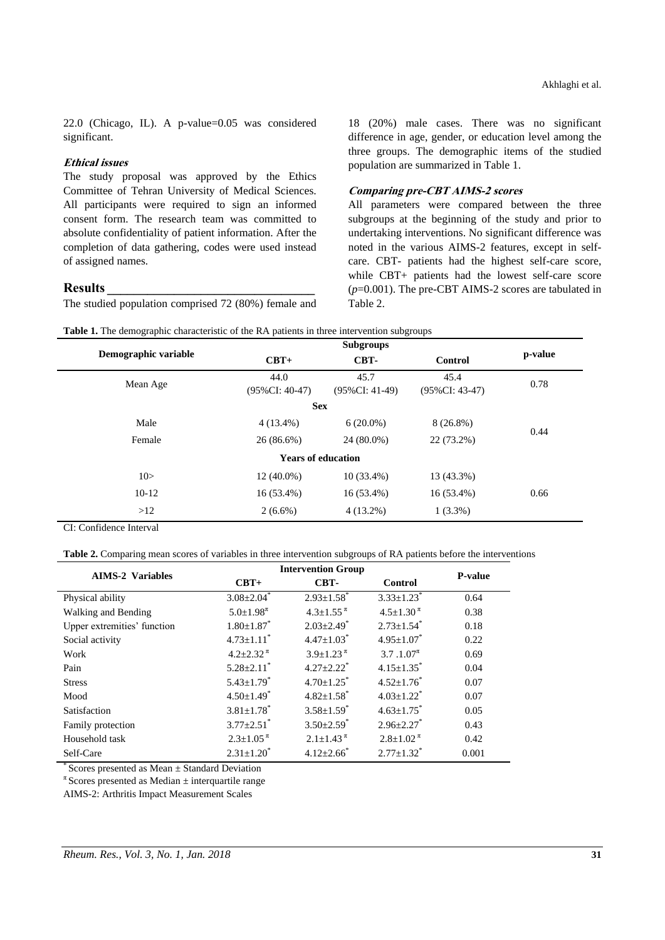22.0 (Chicago, IL). A p-value=0.05 was considered significant.

## **Ethical issues**

The study proposal was approved by the Ethics Committee of Tehran University of Medical Sciences. All participants were required to sign an informed consent form. The research team was committed to absolute confidentiality of patient information. After the completion of data gathering, codes were used instead of assigned names.

# **Results \_\_\_\_\_\_\_\_\_\_\_\_\_\_\_\_\_\_\_\_\_\_\_\_\_\_\_\_\_\_\_**

The studied population comprised 72 (80%) female and

18 (20%) male cases. There was no significant difference in age, gender, or education level among the three groups. The demographic items of the studied population are summarized in Table 1.

## **Comparing pre-CBT AIMS-2 scores**

All parameters were compared between the three subgroups at the beginning of the study and prior to undertaking interventions. No significant difference was noted in the various AIMS-2 features, except in selfcare. CBT- patients had the highest self-care score, while CBT+ patients had the lowest self-care score (*p*=0.001). The pre-CBT AIMS-2 scores are tabulated in Table 2.

|  |  |  | <b>Table 1.</b> The demographic characteristic of the RA patients in three intervention subgroups |  |
|--|--|--|---------------------------------------------------------------------------------------------------|--|
|  |  |  |                                                                                                   |  |

|                           | Demographic variable | $CBT+$                    | CBT-                      | Control                   | p-value |  |
|---------------------------|----------------------|---------------------------|---------------------------|---------------------------|---------|--|
|                           | Mean Age             | 44.0<br>$(95\%CI: 40-47)$ | 45.7<br>$(95\%CI: 41-49)$ | 45.4<br>$(95\%CI: 43-47)$ | 0.78    |  |
| <b>Sex</b>                |                      |                           |                           |                           |         |  |
|                           | Male                 | $4(13.4\%)$               | $6(20.0\%)$               | $8(26.8\%)$               | 0.44    |  |
|                           | Female               | $26(86.6\%)$              | 22 (73.2%)<br>24 (80.0%)  |                           |         |  |
| <b>Years of education</b> |                      |                           |                           |                           |         |  |
|                           | 10>                  | $12(40.0\%)$              | $10(33.4\%)$              | 13 (43.3%)                |         |  |
|                           | $10-12$              | $16(53.4\%)$              | $16(53.4\%)$              | $16(53.4\%)$              | 0.66    |  |
|                           | >12                  | $2(6.6\%)$                | $4(13.2\%)$               | $1(3.3\%)$                |         |  |
|                           |                      |                           |                           |                           |         |  |

CI: Confidence Interval

|  | Table 2. Comparing mean scores of variables in three intervention subgroups of RA patients before the interventions |
|--|---------------------------------------------------------------------------------------------------------------------|
|--|---------------------------------------------------------------------------------------------------------------------|

| <b>AIMS-2 Variables</b>     | <b>Intervention Group</b>                  | <b>P-value</b>                             |                              |       |
|-----------------------------|--------------------------------------------|--------------------------------------------|------------------------------|-------|
|                             | $CBT+$                                     | CBT-                                       | Control                      |       |
| Physical ability            | $3.08 \pm 2.04$ <sup>*</sup>               | $2.93 \pm 1.58$ <sup>*</sup>               | $3.33+1.23$ <sup>*</sup>     | 0.64  |
| Walking and Bending         | $5.0 \pm 1.98$ <sup><math>\pi</math></sup> | $4.3 \pm 1.55$ <sup><math>\pi</math></sup> | $4.5 \pm 1.30^{\pi}$         | 0.38  |
| Upper extremities' function | $1.80 \pm 1.87$ *                          | $2.03 \pm 2.49$ <sup>*</sup>               | $2.73 \pm 1.54$ <sup>*</sup> | 0.18  |
| Social activity             | $4.73 \pm 1.11$ <sup>*</sup>               | $4.47 \pm 1.03$ <sup>*</sup>               | $4.95 \pm 1.07$ *            | 0.22  |
| Work                        | $4.2 + 2.32^{\pi}$                         | $3.9 \pm 1.23$ <sup><math>\pi</math></sup> | $3.7.1.07^{\pi}$             | 0.69  |
| Pain                        | $5.28 \pm 2.11$ <sup>*</sup>               | $4.27 + 2.22$ <sup>*</sup>                 | $4.15 + 1.35$ <sup>*</sup>   | 0.04  |
| <b>Stress</b>               | $5.43 \pm 1.79$ <sup>*</sup>               | $4.70 \pm 1.25$                            | $4.52 \pm 1.76$              | 0.07  |
| Mood                        | $4.50 \pm 1.49$ <sup>*</sup>               | $4.82 + 1.58$ <sup>*</sup>                 | $4.03+1.22^*$                | 0.07  |
| Satisfaction                | $3.81 \pm 1.78$ <sup>*</sup>               | $3.58 \pm 1.59$ <sup>*</sup>               | $4.63 \pm 1.75$ <sup>*</sup> | 0.05  |
| Family protection           | $3.77 \pm 2.51$ <sup>*</sup>               | $3.50 \pm 2.59$ <sup>*</sup>               | $2.96 + 2.27$                | 0.43  |
| Household task              | $2.3 \pm 1.05$ <sup><math>\pi</math></sup> | $2.1 \pm 1.43$ <sup><math>\pi</math></sup> | $2.8 \pm 1.02^{\pi}$         | 0.42  |
| Self-Care                   | $2.31 + 1.20^*$                            | $4.12 \pm 2.66$ <sup>*</sup>               | $2.77+1.32^*$                | 0.001 |

 $\degree$  Scores presented as Mean  $\pm$  Standard Deviation

 $\pi$  Scores presented as Median  $\pm$  interquartile range

AIMS-2: Arthritis Impact Measurement Scales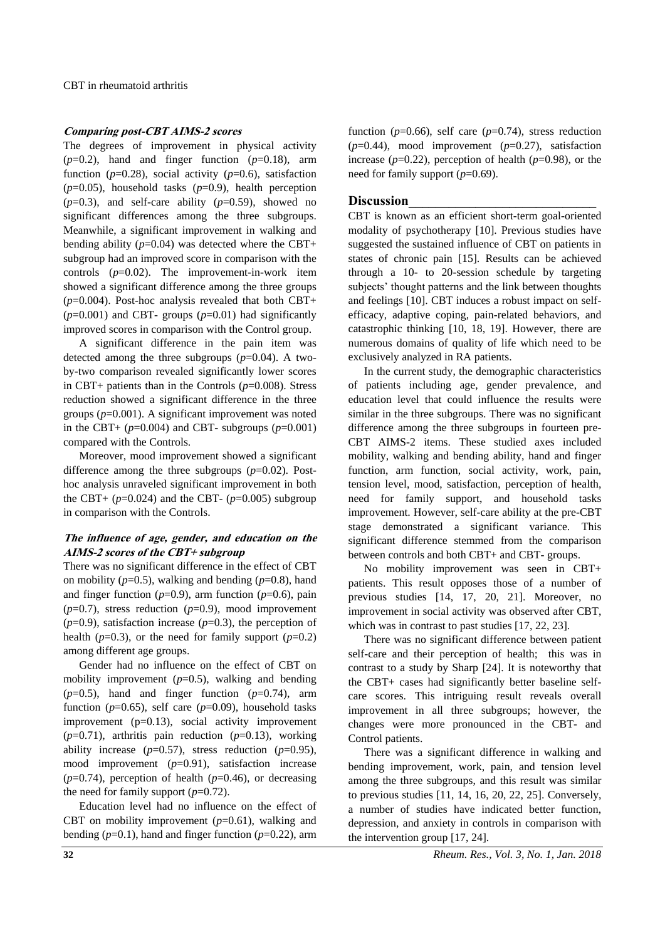## **Comparing post-CBT AIMS-2 scores**

The degrees of improvement in physical activity  $(p=0.2)$ , hand and finger function  $(p=0.18)$ , arm function ( $p=0.28$ ), social activity ( $p=0.6$ ), satisfaction  $(p=0.05)$ , household tasks  $(p=0.9)$ , health perception  $(p=0.3)$ , and self-care ability  $(p=0.59)$ , showed no significant differences among the three subgroups. Meanwhile, a significant improvement in walking and bending ability  $(p=0.04)$  was detected where the CBT+ subgroup had an improved score in comparison with the controls (*p*=0.02). The improvement-in-work item showed a significant difference among the three groups  $(p=0.004)$ . Post-hoc analysis revealed that both CBT+  $(p=0.001)$  and CBT- groups  $(p=0.01)$  had significantly improved scores in comparison with the Control group.

A significant difference in the pain item was detected among the three subgroups (*p*=0.04). A twoby-two comparison revealed significantly lower scores in CBT+ patients than in the Controls (*p*=0.008). Stress reduction showed a significant difference in the three groups (*p*=0.001). A significant improvement was noted in the CBT+  $(p=0.004)$  and CBT- subgroups  $(p=0.001)$ compared with the Controls.

Moreover, mood improvement showed a significant difference among the three subgroups  $(p=0.02)$ . Posthoc analysis unraveled significant improvement in both the CBT+  $(p=0.024)$  and the CBT-  $(p=0.005)$  subgroup in comparison with the Controls.

## **The influence of age, gender, and education on the AIMS-2 scores of the CBT+ subgroup**

There was no significant difference in the effect of CBT on mobility  $(p=0.5)$ , walking and bending  $(p=0.8)$ , hand and finger function  $(p=0.9)$ , arm function  $(p=0.6)$ , pain  $(p=0.7)$ , stress reduction  $(p=0.9)$ , mood improvement  $(p=0.9)$ , satisfaction increase  $(p=0.3)$ , the perception of health ( $p=0.3$ ), or the need for family support ( $p=0.2$ ) among different age groups.

Gender had no influence on the effect of CBT on mobility improvement (*p*=0.5), walking and bending  $(p=0.5)$ , hand and finger function  $(p=0.74)$ , arm function ( $p=0.65$ ), self care ( $p=0.09$ ), household tasks improvement (p=0.13), social activity improvement  $(p=0.71)$ , arthritis pain reduction  $(p=0.13)$ , working ability increase  $(p=0.57)$ , stress reduction  $(p=0.95)$ , mood improvement (*p*=0.91), satisfaction increase  $(p=0.74)$ , perception of health  $(p=0.46)$ , or decreasing the need for family support  $(p=0.72)$ .

Education level had no influence on the effect of CBT on mobility improvement (*p*=0.61), walking and bending  $(p=0.1)$ , hand and finger function  $(p=0.22)$ , arm function ( $p=0.66$ ), self care ( $p=0.74$ ), stress reduction  $(p=0.44)$ , mood improvement  $(p=0.27)$ , satisfaction increase  $(p=0.22)$ , perception of health  $(p=0.98)$ , or the need for family support (*p*=0.69).

#### **Discussion\_\_\_\_\_\_\_\_\_\_\_\_\_\_\_\_\_\_\_\_\_\_\_\_\_\_\_\_**

CBT is known as an efficient short-term goal-oriented modality of psychotherapy [\[10\]](#page-4-7). Previous studies have suggested the sustained influence of CBT on patients in states of chronic pain [\[15\]](#page-4-12). Results can be achieved through a 10- to 20-session schedule by targeting subjects' thought patterns and the link between thoughts and feelings [\[10\]](#page-4-7). CBT induces a robust impact on selfefficacy, adaptive coping, pain-related behaviors, and catastrophic thinking [\[10,](#page-4-7) [18,](#page-5-1) [19\]](#page-5-2). However, there are numerous domains of quality of life which need to be exclusively analyzed in RA patients.

In the current study, the demographic characteristics of patients including age, gender prevalence, and education level that could influence the results were similar in the three subgroups. There was no significant difference among the three subgroups in fourteen pre-CBT AIMS-2 items. These studied axes included mobility, walking and bending ability, hand and finger function, arm function, social activity, work, pain, tension level, mood, satisfaction, perception of health, need for family support, and household tasks improvement. However, self-care ability at the pre-CBT stage demonstrated a significant variance. This significant difference stemmed from the comparison between controls and both CBT+ and CBT- groups.

No mobility improvement was seen in CBT+ patients. This result opposes those of a number of previous studies [\[14,](#page-4-11) [17,](#page-5-0) [20,](#page-5-3) [21\]](#page-5-4). Moreover, no improvement in social activity was observed after CBT, which was in contrast to past studies [\[17,](#page-5-0) [22,](#page-5-5) [23\]](#page-5-6).

There was no significant difference between patient self-care and their perception of health; this was in contrast to a study by Sharp [\[24\]](#page-5-7). It is noteworthy that the CBT+ cases had significantly better baseline selfcare scores. This intriguing result reveals overall improvement in all three subgroups; however, the changes were more pronounced in the CBT- and Control patients.

There was a significant difference in walking and bending improvement, work, pain, and tension level among the three subgroups, and this result was similar to previous studies [\[11,](#page-4-8) [14,](#page-4-11) [16,](#page-4-13) [20,](#page-5-3) [22,](#page-5-5) [25\]](#page-5-8). Conversely, a number of studies have indicated better function, depression, and anxiety in controls in comparison with the intervention group [\[17,](#page-5-0) [24\]](#page-5-7).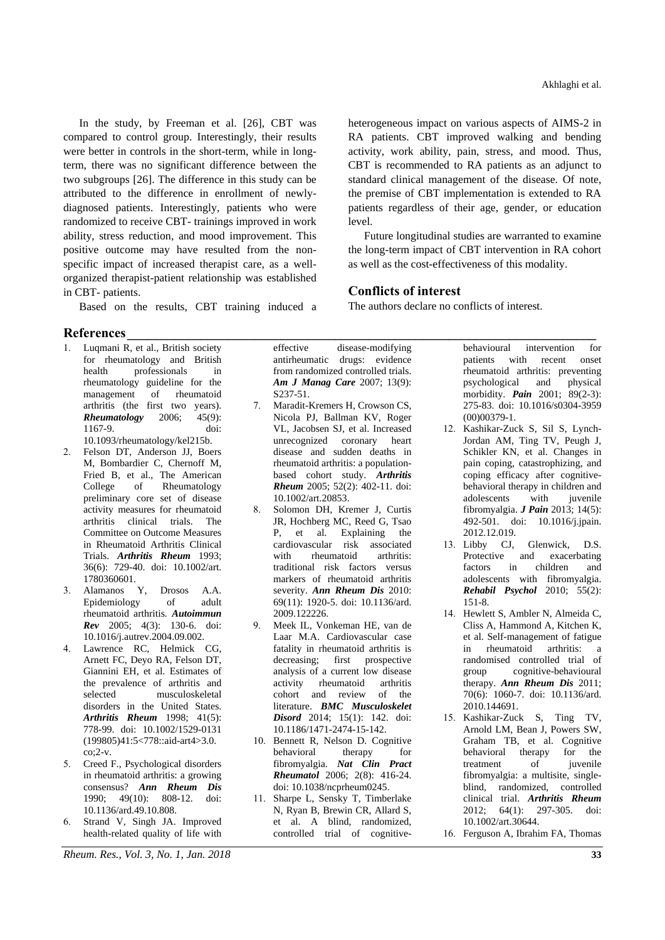In the study, by Freeman et al. [26], CBT was compared to control group. Interestingly, their results were better in controls in the short-term, while in longterm, there was no significant difference between the two subgroups [\[26\]](#page-5-9). The difference in this study can be attributed to the difference in enrollment of newlydiagnosed patients. Interestingly, patients who were randomized to receive CBT- trainings improved in work ability, stress reduction, and mood improvement. This positive outcome may have resulted from the nonspecific impact of increased therapist care, as a wellorganized therapist-patient relationship was established in CBT- patients.

Based on the results, CBT training induced a

# **References\_\_\_\_\_\_\_\_\_\_\_\_\_\_\_\_\_\_\_\_\_\_\_\_\_\_\_\_\_\_\_\_\_\_\_\_\_\_\_\_\_\_\_\_\_\_\_\_\_\_\_\_\_\_\_\_\_\_\_\_\_\_\_\_\_\_\_\_\_\_**

- <span id="page-4-0"></span>1. Luqmani R, et al., British society for rheumatology and British health professionals in rheumatology guideline for the management of rheumatoid arthritis (the first two years). *Rheumatology* 2006; 45(9): 1167-9. doi: 10.1093/rheumatology/kel215b.
- <span id="page-4-1"></span>2. Felson DT, Anderson JJ, Boers M, Bombardier C, Chernoff M, Fried B, et al., The American College of Rheumatology preliminary core set of disease activity measures for rheumatoid arthritis clinical trials. The Committee on Outcome Measures in Rheumatoid Arthritis Clinical Trials. *Arthritis Rheum* 1993; 36(6): 729-40. doi: 10.1002/art. 1780360601.
- <span id="page-4-2"></span>3. Alamanos Y, Drosos A.A. Epidemiology of adult rheumatoid arthritis*. Autoimmun Rev* 2005; 4(3): 130-6. doi: 10.1016/j.autrev.2004.09.002.
- <span id="page-4-3"></span>4. Lawrence RC, Helmick CG, Arnett FC, Deyo RA, Felson DT, Giannini EH, et al. Estimates of the prevalence of arthritis and selected musculoskeletal disorders in the United States. *Arthritis Rheum* 1998; 41(5): 778-99. doi: 10.1002/1529-0131 (199805)41:5<778::aid-art4>3.0. co;2-v.
- <span id="page-4-4"></span>5. Creed F., Psychological disorders in rheumatoid arthritis: a growing consensus? *Ann Rheum Dis* 1990; 49(10): 808-12. doi: 10.1136/ard.49.10.808.
- <span id="page-4-5"></span>6. Strand V, Singh JA. Improved health-related quality of life with

*Rheum. Res., Vol. 3, No. 1, Jan. 2018* **33**

effective disease-modifying antirheumatic drugs: evidence from randomized controlled trials. *Am J Manag Care* 2007; 13(9): S237-51.

- <span id="page-4-6"></span>7. Maradit-Kremers H, Crowson CS, Nicola PJ, Ballman KV, Roger VL, Jacobsen SJ, et al. Increased unrecognized coronary heart disease and sudden deaths in rheumatoid arthritis: a populationbased cohort study. *Arthritis Rheum* 2005; 52(2): 402-11. doi: 10.1002/art.20853.
- 8. Solomon DH, Kremer J, Curtis JR, Hochberg MC, Reed G, Tsao P, et al. Explaining the cardiovascular risk associated with rheumatoid arthritis: traditional risk factors versus markers of rheumatoid arthritis severity. *Ann Rheum Dis* 2010: 69(11): 1920-5. doi: 10.1136/ard. 2009.122226.
- 9. Meek IL, Vonkeman HE, van de Laar M.A. Cardiovascular case fatality in rheumatoid arthritis is decreasing; first prospective analysis of a current low disease activity rheumatoid arthritis cohort and review of the literature. *BMC Musculoskelet Disord* 2014; 15(1): 142. doi: 10.1186/1471-2474-15-142.
- <span id="page-4-7"></span>10. Bennett R, Nelson D. Cognitive<br>behavioral therapy for behavioral therapy for fibromyalgia. *Nat Clin Pract Rheumatol* 2006; 2(8): 416-24. doi: 10.1038/ncprheum0245.
- <span id="page-4-8"></span>11. Sharpe L, Sensky T, Timberlake N, Ryan B, Brewin CR, Allard S, et al. A blind, randomized, controlled trial of cognitive-

heterogeneous impact on various aspects of AIMS-2 in RA patients. CBT improved walking and bending activity, work ability, pain, stress, and mood. Thus, CBT is recommended to RA patients as an adjunct to standard clinical management of the disease. Of note, the premise of CBT implementation is extended to RA patients regardless of their age, gender, or education level.

Future longitudinal studies are warranted to examine the long-term impact of CBT intervention in RA cohort as well as the cost-effectiveness of this modality.

# **Conflicts of interest**

The authors declare no conflicts of interest.

behavioural intervention for patients with recent onset rheumatoid arthritis: preventing psychological and physical morbidity. *Pain* 2001; 89(2-3): 275-83. doi: 10.1016/s0304-3959 (00)00379-1.

- <span id="page-4-9"></span>12. Kashikar-Zuck S, Sil S, Lynch-Jordan AM, Ting TV, Peugh J, Schikler KN, et al. Changes in pain coping, catastrophizing, and coping efficacy after cognitivebehavioral therapy in children and adolescents with juvenile fibromyalgia. *J Pain* 2013; 14(5): 492-501. doi: 10.1016/j.jpain. 2012.12.019.
- <span id="page-4-10"></span>13. Libby CJ, Glenwick, D.S. Protective and exacerbating factors in children and adolescents with fibromyalgia. *Rehabil Psychol* 2010; 55(2): 151-8.
- <span id="page-4-11"></span>14. Hewlett S, Ambler N, Almeida C, Cliss A, Hammond A, Kitchen K, et al. Self-management of fatigue in rheumatoid arthritis: a randomised controlled trial of group cognitive-behavioural therapy. *Ann Rheum Dis* 2011; 70(6): 1060-7. doi: 10.1136/ard. 2010.144691.
- <span id="page-4-12"></span>15. Kashikar-Zuck S, Ting TV, Arnold LM, Bean J, Powers SW, Graham TB, et al. Cognitive<br>behavioral therapy for the behavioral therapy for the treatment of juvenile fibromyalgia: a multisite, singleblind, randomized, controlled clinical trial. *Arthritis Rheum* 2012; 64(1): 297-305. doi: 10.1002/art.30644.
- <span id="page-4-13"></span>16. Ferguson A, Ibrahim FA, Thomas